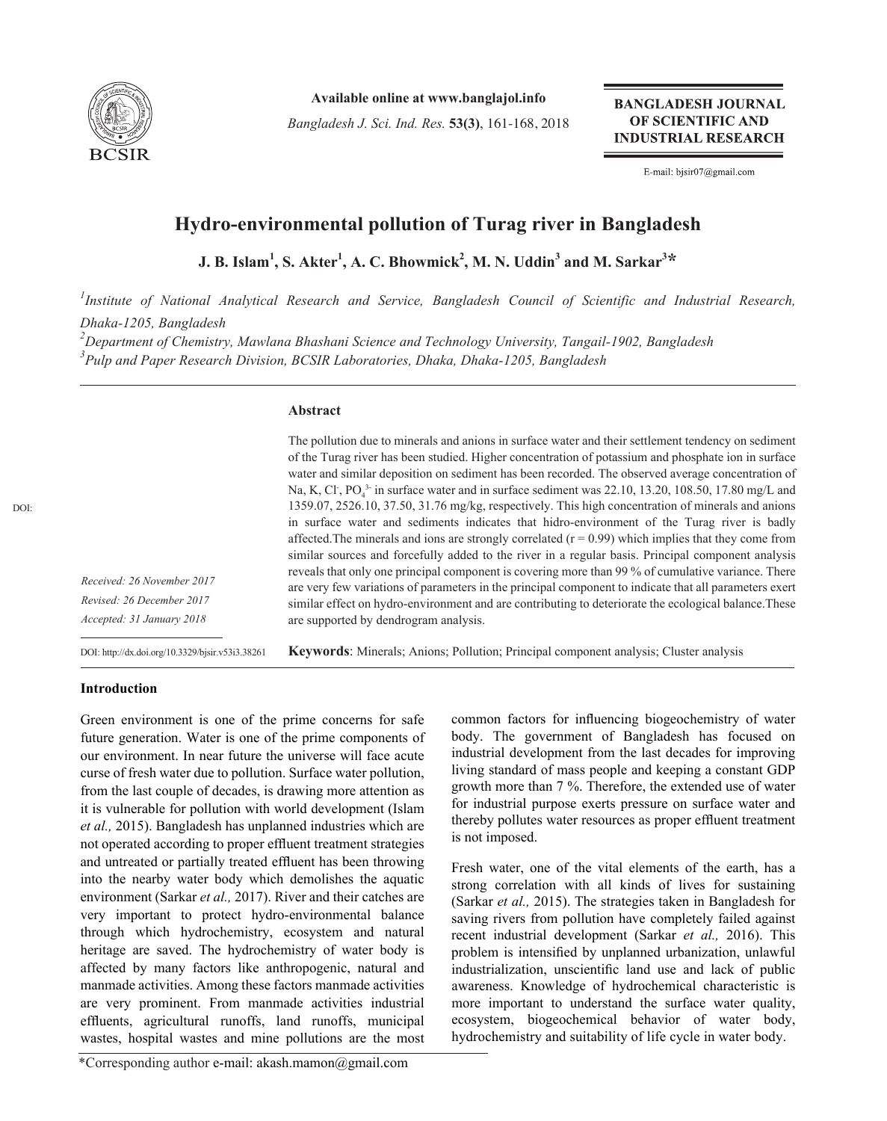

**Available online at www.banglajol.info**

*Bangladesh J. Sci. Ind. Res.* **53(3)**, 161-168, 2018

**BANGLADESH JOURNAL** OF SCIENTIFIC AND **INDUSTRIAL RESEARCH** 

E-mail: bjsir07@gmail.com

# **Hydro-environmental pollution of Turag river in Bangladesh**

**J. B. Islam<sup>1</sup> , S. Akter<sup>1</sup> , A. C. Bhowmick<sup>2</sup> , M. N. Uddin<sup>3</sup> and M. Sarkar<sup>3</sup> \***

*1 Institute of National Analytical Research and Service, Bangladesh Council of Scientific and Industrial Research, Dhaka-1205, Bangladesh*

*2 Department of Chemistry, Mawlana Bhashani Science and Technology University, Tangail-1902, Bangladesh 3 Pulp and Paper Research Division, BCSIR Laboratories, Dhaka, Dhaka-1205, Bangladesh*

### **Abstract**

The pollution due to minerals and anions in surface water and their settlement tendency on sediment of the Turag river has been studied. Higher concentration of potassium and phosphate ion in surface water and similar deposition on sediment has been recorded. The observed average concentration of Na, K, Cl<sup>-</sup>, PO<sub>4</sub><sup>3-</sup> in surface water and in surface sediment was 22.10, 13.20, 108.50, 17.80 mg/L and 1359.07, 2526.10, 37.50, 31.76 mg/kg, respectively. This high concentration of minerals and anions in surface water and sediments indicates that hidro-environment of the Turag river is badly affected. The minerals and ions are strongly correlated  $(r = 0.99)$  which implies that they come from similar sources and forcefully added to the river in a regular basis. Principal component analysis reveals that only one principal component is covering more than 99 % of cumulative variance. There are very few variations of parameters in the principal component to indicate that all parameters exert similar effect on hydro-environment and are contributing to deteriorate the ecological balance.These are supported by dendrogram analysis.

*Received: 26 November 2017 Revised: 26 December 2017 Accepted: 31 January 2018*

DOI: http://dx.doi.org/10.3329/bjsir.v53i3.38261

**Keywords**: Minerals; Anions; Pollution; Principal component analysis; Cluster analysis

## **Introduction**

Green environment is one of the prime concerns for safe future generation. Water is one of the prime components of our environment. In near future the universe will face acute curse of fresh water due to pollution. Surface water pollution, from the last couple of decades, is drawing more attention as it is vulnerable for pollution with world development (Islam *et al.,* 2015). Bangladesh has unplanned industries which are not operated according to proper effluent treatment strategies and untreated or partially treated effluent has been throwing into the nearby water body which demolishes the aquatic environment (Sarkar *et al.,* 2017). River and their catches are very important to protect hydro-environmental balance through which hydrochemistry, ecosystem and natural heritage are saved. The hydrochemistry of water body is affected by many factors like anthropogenic, natural and manmade activities. Among these factors manmade activities are very prominent. From manmade activities industrial effluents, agricultural runoffs, land runoffs, municipal wastes, hospital wastes and mine pollutions are the most

common factors for influencing biogeochemistry of water body. The government of Bangladesh has focused on industrial development from the last decades for improving living standard of mass people and keeping a constant GDP growth more than 7 %. Therefore, the extended use of water for industrial purpose exerts pressure on surface water and thereby pollutes water resources as proper effluent treatment is not imposed.

Fresh water, one of the vital elements of the earth, has a strong correlation with all kinds of lives for sustaining (Sarkar *et al.,* 2015). The strategies taken in Bangladesh for saving rivers from pollution have completely failed against recent industrial development (Sarkar *et al.,* 2016). This problem is intensified by unplanned urbanization, unlawful industrialization, unscientific land use and lack of public awareness. Knowledge of hydrochemical characteristic is more important to understand the surface water quality, ecosystem, biogeochemical behavior of water body, hydrochemistry and suitability of life cycle in water body.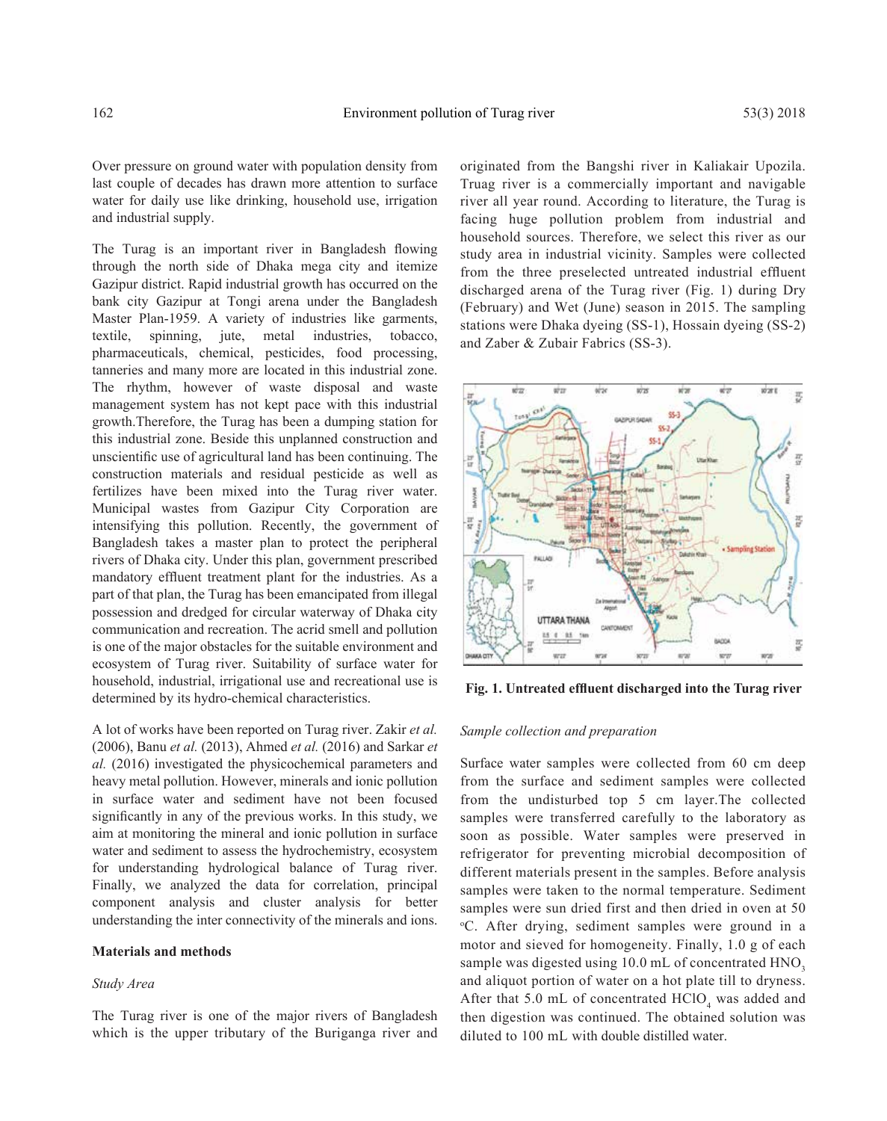Over pressure on ground water with population density from last couple of decades has drawn more attention to surface water for daily use like drinking, household use, irrigation and industrial supply.

The Turag is an important river in Bangladesh flowing through the north side of Dhaka mega city and itemize Gazipur district. Rapid industrial growth has occurred on the bank city Gazipur at Tongi arena under the Bangladesh Master Plan-1959. A variety of industries like garments, textile, spinning, jute, metal industries, tobacco, pharmaceuticals, chemical, pesticides, food processing, tanneries and many more are located in this industrial zone. The rhythm, however of waste disposal and waste management system has not kept pace with this industrial growth.Therefore, the Turag has been a dumping station for this industrial zone. Beside this unplanned construction and unscientific use of agricultural land has been continuing. The construction materials and residual pesticide as well as fertilizes have been mixed into the Turag river water. Municipal wastes from Gazipur City Corporation are intensifying this pollution. Recently, the government of Bangladesh takes a master plan to protect the peripheral rivers of Dhaka city. Under this plan, government prescribed mandatory effluent treatment plant for the industries. As a part of that plan, the Turag has been emancipated from illegal possession and dredged for circular waterway of Dhaka city communication and recreation. The acrid smell and pollution is one of the major obstacles for the suitable environment and ecosystem of Turag river. Suitability of surface water for household, industrial, irrigational use and recreational use is determined by its hydro-chemical characteristics.

A lot of works have been reported on Turag river. Zakir *et al.*  (2006), Banu *et al.* (2013), Ahmed *et al.* (2016) and Sarkar *et al.* (2016) investigated the physicochemical parameters and heavy metal pollution. However, minerals and ionic pollution in surface water and sediment have not been focused significantly in any of the previous works. In this study, we aim at monitoring the mineral and ionic pollution in surface water and sediment to assess the hydrochemistry, ecosystem for understanding hydrological balance of Turag river. Finally, we analyzed the data for correlation, principal component analysis and cluster analysis for better understanding the inter connectivity of the minerals and ions.

#### **Materials and methods**

#### *Study Area*

The Turag river is one of the major rivers of Bangladesh which is the upper tributary of the Buriganga river and

originated from the Bangshi river in Kaliakair Upozila. Truag river is a commercially important and navigable river all year round. According to literature, the Turag is facing huge pollution problem from industrial and household sources. Therefore, we select this river as our study area in industrial vicinity. Samples were collected from the three preselected untreated industrial effluent discharged arena of the Turag river (Fig. 1) during Dry (February) and Wet (June) season in 2015. The sampling stations were Dhaka dyeing (SS-1), Hossain dyeing (SS-2) and Zaber & Zubair Fabrics (SS-3).



**Fig. 1. Untreated effluent discharged into the Turag river**

## *Sample collection and preparation*

Surface water samples were collected from 60 cm deep from the surface and sediment samples were collected from the undisturbed top 5 cm layer.The collected samples were transferred carefully to the laboratory as soon as possible. Water samples were preserved in refrigerator for preventing microbial decomposition of different materials present in the samples. Before analysis samples were taken to the normal temperature. Sediment samples were sun dried first and then dried in oven at 50 o C. After drying, sediment samples were ground in a motor and sieved for homogeneity. Finally, 1.0 g of each sample was digested using 10.0 mL of concentrated HNO<sub>3</sub> and aliquot portion of water on a hot plate till to dryness. After that 5.0 mL of concentrated  $HClO<sub>4</sub>$  was added and then digestion was continued. The obtained solution was diluted to 100 mL with double distilled water.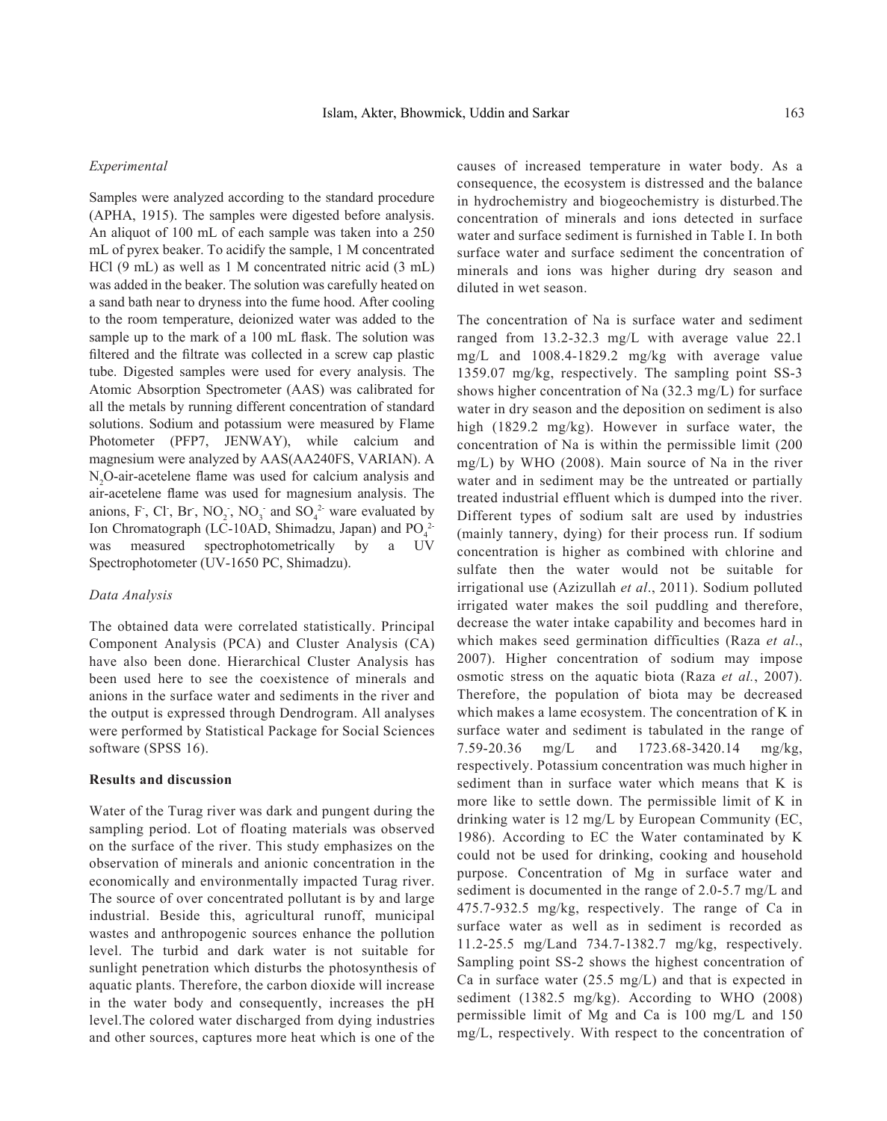#### *Experimental*

Samples were analyzed according to the standard procedure (APHA, 1915). The samples were digested before analysis. An aliquot of 100 mL of each sample was taken into a 250 mL of pyrex beaker. To acidify the sample, 1 M concentrated HCl (9 mL) as well as 1 M concentrated nitric acid (3 mL) was added in the beaker. The solution was carefully heated on a sand bath near to dryness into the fume hood. After cooling to the room temperature, deionized water was added to the sample up to the mark of a 100 mL flask. The solution was filtered and the filtrate was collected in a screw cap plastic tube. Digested samples were used for every analysis. The Atomic Absorption Spectrometer (AAS) was calibrated for all the metals by running different concentration of standard solutions. Sodium and potassium were measured by Flame Photometer (PFP7, JENWAY), while calcium and magnesium were analyzed by AAS(AA240FS, VARIAN). A  $N_2$ O-air-acetelene flame was used for calcium analysis and air-acetelene flame was used for magnesium analysis. The anions, F, Cl, Br,  $NO_2$ ,  $NO_3$  and  $SO_4^2$  ware evaluated by Ion Chromatograph (LC-10AD, Shimadzu, Japan) and  $PO_4^{2-}$ was measured spectrophotometrically by a UV Spectrophotometer (UV-1650 PC, Shimadzu).

#### *Data Analysis*

The obtained data were correlated statistically. Principal Component Analysis (PCA) and Cluster Analysis (CA) have also been done. Hierarchical Cluster Analysis has been used here to see the coexistence of minerals and anions in the surface water and sediments in the river and the output is expressed through Dendrogram. All analyses were performed by Statistical Package for Social Sciences software (SPSS 16).

## **Results and discussion**

Water of the Turag river was dark and pungent during the sampling period. Lot of floating materials was observed on the surface of the river. This study emphasizes on the observation of minerals and anionic concentration in the economically and environmentally impacted Turag river. The source of over concentrated pollutant is by and large industrial. Beside this, agricultural runoff, municipal wastes and anthropogenic sources enhance the pollution level. The turbid and dark water is not suitable for sunlight penetration which disturbs the photosynthesis of aquatic plants. Therefore, the carbon dioxide will increase in the water body and consequently, increases the pH level.The colored water discharged from dying industries and other sources, captures more heat which is one of the

causes of increased temperature in water body. As a consequence, the ecosystem is distressed and the balance in hydrochemistry and biogeochemistry is disturbed.The concentration of minerals and ions detected in surface water and surface sediment is furnished in Table I. In both surface water and surface sediment the concentration of minerals and ions was higher during dry season and diluted in wet season.

The concentration of Na is surface water and sediment ranged from 13.2-32.3 mg/L with average value 22.1 mg/L and 1008.4-1829.2 mg/kg with average value 1359.07 mg/kg, respectively. The sampling point SS-3 shows higher concentration of Na (32.3 mg/L) for surface water in dry season and the deposition on sediment is also high (1829.2 mg/kg). However in surface water, the concentration of Na is within the permissible limit (200 mg/L) by WHO (2008). Main source of Na in the river water and in sediment may be the untreated or partially treated industrial effluent which is dumped into the river. Different types of sodium salt are used by industries (mainly tannery, dying) for their process run. If sodium concentration is higher as combined with chlorine and sulfate then the water would not be suitable for irrigational use (Azizullah *et al*., 2011). Sodium polluted irrigated water makes the soil puddling and therefore, decrease the water intake capability and becomes hard in which makes seed germination difficulties (Raza *et al*., 2007). Higher concentration of sodium may impose osmotic stress on the aquatic biota (Raza *et al.*, 2007). Therefore, the population of biota may be decreased which makes a lame ecosystem. The concentration of K in surface water and sediment is tabulated in the range of 7.59-20.36 mg/L and 1723.68-3420.14 mg/kg, respectively. Potassium concentration was much higher in sediment than in surface water which means that K is more like to settle down. The permissible limit of K in drinking water is 12 mg/L by European Community (EC, 1986). According to EC the Water contaminated by K could not be used for drinking, cooking and household purpose. Concentration of Mg in surface water and sediment is documented in the range of 2.0-5.7 mg/L and 475.7-932.5 mg/kg, respectively. The range of Ca in surface water as well as in sediment is recorded as 11.2-25.5 mg/Land 734.7-1382.7 mg/kg, respectively. Sampling point SS-2 shows the highest concentration of Ca in surface water (25.5 mg/L) and that is expected in sediment (1382.5 mg/kg). According to WHO (2008) permissible limit of Mg and Ca is 100 mg/L and 150 mg/L, respectively. With respect to the concentration of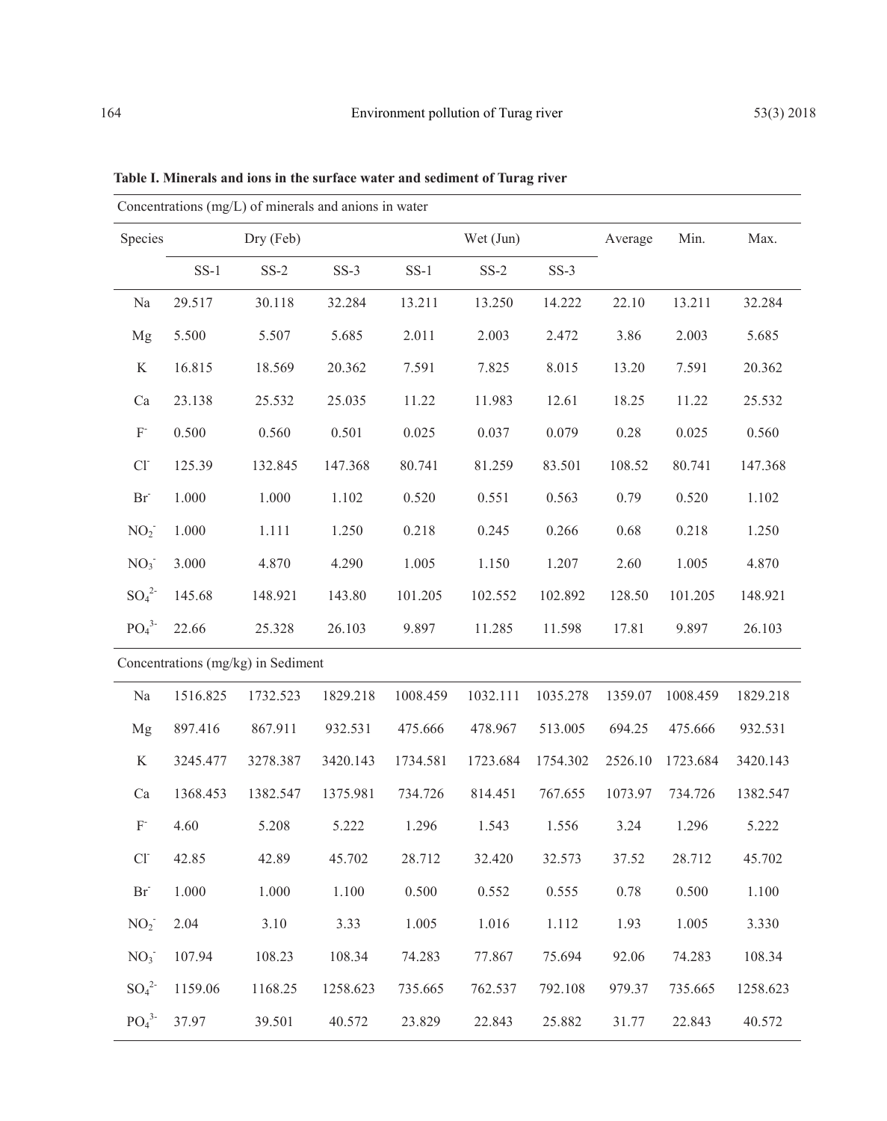| Concentrations (mg/L) of minerals and anions in water |           |          |          |           |          |          |         |          |          |
|-------------------------------------------------------|-----------|----------|----------|-----------|----------|----------|---------|----------|----------|
| Species                                               | Dry (Feb) |          |          | Wet (Jun) |          |          | Average | Min.     | Max.     |
|                                                       | $SS-1$    | $SS-2$   | $SS-3$   | $SS-1$    | $SS-2$   | $SS-3$   |         |          |          |
| Na                                                    | 29.517    | 30.118   | 32.284   | 13.211    | 13.250   | 14.222   | 22.10   | 13.211   | 32.284   |
| Mg                                                    | 5.500     | 5.507    | 5.685    | 2.011     | 2.003    | 2.472    | 3.86    | 2.003    | 5.685    |
| $\bf K$                                               | 16.815    | 18.569   | 20.362   | 7.591     | 7.825    | 8.015    | 13.20   | 7.591    | 20.362   |
| Ca                                                    | 23.138    | 25.532   | 25.035   | 11.22     | 11.983   | 12.61    | 18.25   | 11.22    | 25.532   |
| $\mathbf{F}$                                          | 0.500     | 0.560    | 0.501    | 0.025     | 0.037    | 0.079    | 0.28    | 0.025    | 0.560    |
| $Cl-$                                                 | 125.39    | 132.845  | 147.368  | 80.741    | 81.259   | 83.501   | 108.52  | 80.741   | 147.368  |
| $Br-$                                                 | 1.000     | 1.000    | 1.102    | 0.520     | 0.551    | 0.563    | 0.79    | 0.520    | 1.102    |
| NO <sub>2</sub>                                       | 1.000     | 1.111    | 1.250    | 0.218     | 0.245    | 0.266    | 0.68    | 0.218    | 1.250    |
| NO <sub>3</sub>                                       | 3.000     | 4.870    | 4.290    | 1.005     | 1.150    | 1.207    | 2.60    | 1.005    | 4.870    |
| $SO_4^2$                                              | 145.68    | 148.921  | 143.80   | 101.205   | 102.552  | 102.892  | 128.50  | 101.205  | 148.921  |
| PO <sub>4</sub> <sup>3</sup>                          | 22.66     | 25.328   | 26.103   | 9.897     | 11.285   | 11.598   | 17.81   | 9.897    | 26.103   |
| Concentrations (mg/kg) in Sediment                    |           |          |          |           |          |          |         |          |          |
| Na                                                    | 1516.825  | 1732.523 | 1829.218 | 1008.459  | 1032.111 | 1035.278 | 1359.07 | 1008.459 | 1829.218 |
| Mg                                                    | 897.416   | 867.911  | 932.531  | 475.666   | 478.967  | 513.005  | 694.25  | 475.666  | 932.531  |
| K                                                     | 3245.477  | 3278.387 | 3420.143 | 1734.581  | 1723.684 | 1754.302 | 2526.10 | 1723.684 | 3420.143 |
| Ca                                                    | 1368.453  | 1382.547 | 1375.981 | 734.726   | 814.451  | 767.655  | 1073.97 | 734.726  | 1382.547 |
| $F^{\cdot}$                                           | 4.60      | 5.208    | 5.222    | 1.296     | 1.543    | 1.556    | 3.24    | 1.296    | 5.222    |
| $Cl-$                                                 | 42.85     | 42.89    | 45.702   | 28.712    | 32.420   | 32.573   | 37.52   | 28.712   | 45.702   |
| Br                                                    | 1.000     | 1.000    | 1.100    | 0.500     | 0.552    | 0.555    | 0.78    | 0.500    | 1.100    |
| NO <sub>2</sub>                                       | 2.04      | 3.10     | 3.33     | 1.005     | 1.016    | 1.112    | 1.93    | 1.005    | 3.330    |
| $NO3$ <sup>-</sup>                                    | 107.94    | 108.23   | 108.34   | 74.283    | 77.867   | 75.694   | 92.06   | 74.283   | 108.34   |
| $SO_4^2$                                              | 1159.06   | 1168.25  | 1258.623 | 735.665   | 762.537  | 792.108  | 979.37  | 735.665  | 1258.623 |
| PO <sub>4</sub> <sup>3</sup>                          | 37.97     | 39.501   | 40.572   | 23.829    | 22.843   | 25.882   | 31.77   | 22.843   | 40.572   |

**Table I. Minerals and ions in the surface water and sediment of Turag river**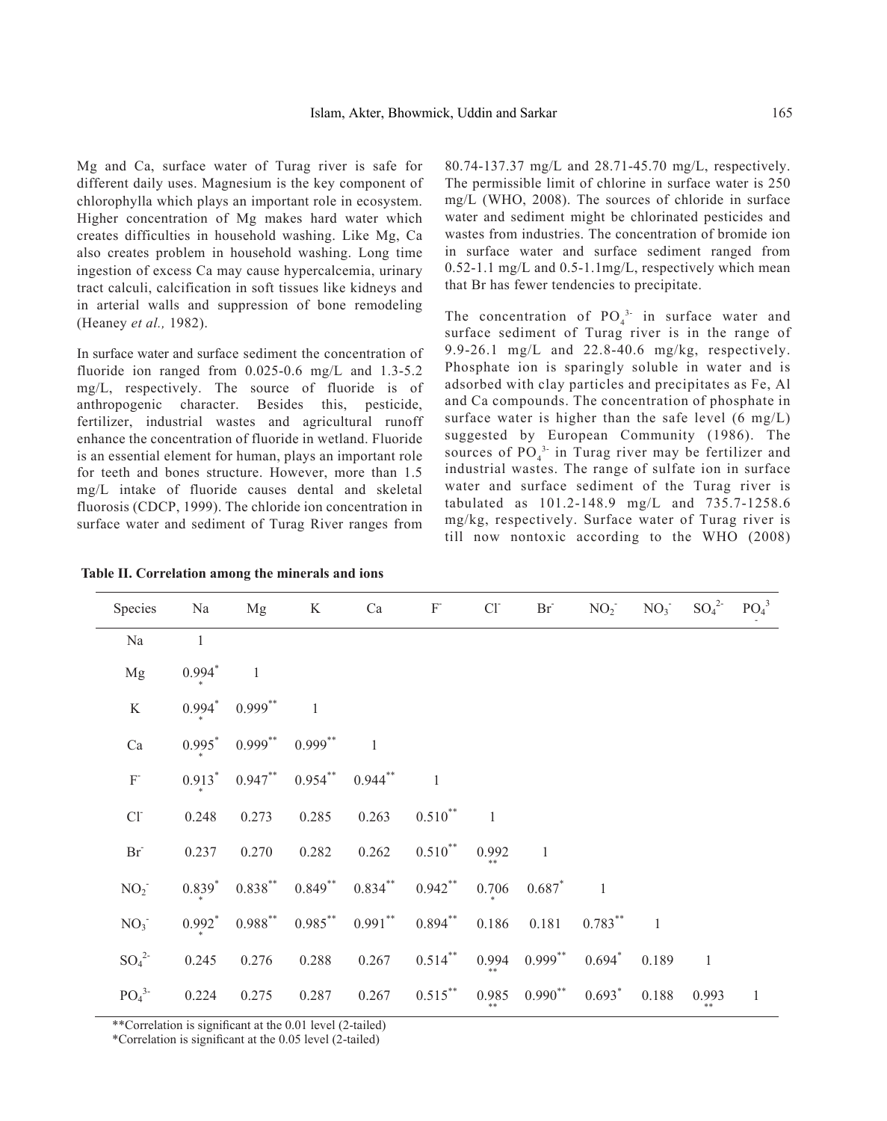Mg and Ca, surface water of Turag river is safe for different daily uses. Magnesium is the key component of chlorophylla which plays an important role in ecosystem. Higher concentration of Mg makes hard water which creates difficulties in household washing. Like Mg, Ca also creates problem in household washing. Long time ingestion of excess Ca may cause hypercalcemia, urinary tract calculi, calcification in soft tissues like kidneys and in arterial walls and suppression of bone remodeling (Heaney *et al.,* 1982).

In surface water and surface sediment the concentration of fluoride ion ranged from 0.025-0.6 mg/L and 1.3-5.2 mg/L, respectively. The source of fluoride is of anthropogenic character. Besides this, pesticide, fertilizer, industrial wastes and agricultural runoff enhance the concentration of fluoride in wetland. Fluoride is an essential element for human, plays an important role for teeth and bones structure. However, more than 1.5 mg/L intake of fluoride causes dental and skeletal fluorosis (CDCP, 1999). The chloride ion concentration in surface water and sediment of Turag River ranges from

80.74-137.37 mg/L and 28.71-45.70 mg/L, respectively. The permissible limit of chlorine in surface water is 250 mg/L (WHO, 2008). The sources of chloride in surface water and sediment might be chlorinated pesticides and wastes from industries. The concentration of bromide ion in surface water and surface sediment ranged from 0.52-1.1 mg/L and 0.5-1.1mg/L, respectively which mean that Br has fewer tendencies to precipitate.

The concentration of  $PO_4^3$  in surface water and surface sediment of Turag river is in the range of 9.9-26.1 mg/L and 22.8-40.6 mg/kg, respectively. Phosphate ion is sparingly soluble in water and is adsorbed with clay particles and precipitates as Fe, Al and Ca compounds. The concentration of phosphate in surface water is higher than the safe level  $(6 \text{ mg/L})$ suggested by European Community (1986). The sources of  $PO_4^{3}$  in Turag river may be fertilizer and industrial wastes. The range of sulfate ion in surface water and surface sediment of the Turag river is tabulated as 101.2-148.9 mg/L and 735.7-1258.6 mg/kg, respectively. Surface water of Turag river is till now nontoxic according to the WHO (2008)

| Species                      | Na                   | Mg                            | $\rm K$        | Ca         | ${\rm F}$      | CI             | $\rm Br$                      | NO <sub>2</sub> | NO <sub>3</sub> | $SO_4^2$       | PO <sub>4</sub> <sup>3</sup> |
|------------------------------|----------------------|-------------------------------|----------------|------------|----------------|----------------|-------------------------------|-----------------|-----------------|----------------|------------------------------|
| Na                           | $\mathbf{1}$         |                               |                |            |                |                |                               |                 |                 |                |                              |
| Mg                           | $0.994*$             | $\overline{1}$                |                |            |                |                |                               |                 |                 |                |                              |
| K                            | $0.994$ <sup>*</sup> | $0.999^{**}$                  | $\overline{1}$ |            |                |                |                               |                 |                 |                |                              |
| $\rm Ca$                     |                      | $0.995^*$ 0.999 <sup>**</sup> | $0.999$ **     |            |                |                |                               |                 |                 |                |                              |
| $\mathbf{F}$                 |                      | $0.913^*$ 0.947 <sup>**</sup> | $0.954***$     | $0.944***$ | $\overline{1}$ |                |                               |                 |                 |                |                              |
| $Cl^{\sim}$                  | 0.248                | 0.273                         | 0.285          | 0.263      | $0.510^{**}$   | $\overline{1}$ |                               |                 |                 |                |                              |
| $Br^-$                       | 0.237                | 0.270                         | 0.282          | 0.262      | $0.510^{**}$   | 0.992          | $\mathbf{1}$                  |                 |                 |                |                              |
| $NO2$ <sup>-</sup>           | $0.839^{*}$          | $0.838***$                    | $0.849***$     | $0.834***$ | $0.942$ **     | 0.706          | $0.687*$                      | $\overline{1}$  |                 |                |                              |
| NO <sub>3</sub>              | $0.992^*$            | $0.988$ **                    | $0.985***$     | $0.991$ ** | $0.894***$     | 0.186          | 0.181                         | $0.783***$      |                 |                |                              |
| $SO_4^2$                     | 0.245                | 0.276                         | 0.288          | 0.267      | $0.514$ **     |                | $0.994$ $0.999$ <sup>**</sup> | $0.694*$        | 0.189           | $\overline{1}$ |                              |
| PO <sub>4</sub> <sup>3</sup> | 0.224                | 0.275                         | 0.287          | 0.267      | $0.515***$     |                | $0.985$ $0.990^{**}$          | $0.693*$        | 0.188           | 0.993          | $\,1$                        |

\*\*Correlation is significant at the 0.01 level (2-tailed)

\*Correlation is significant at the 0.05 level (2-tailed)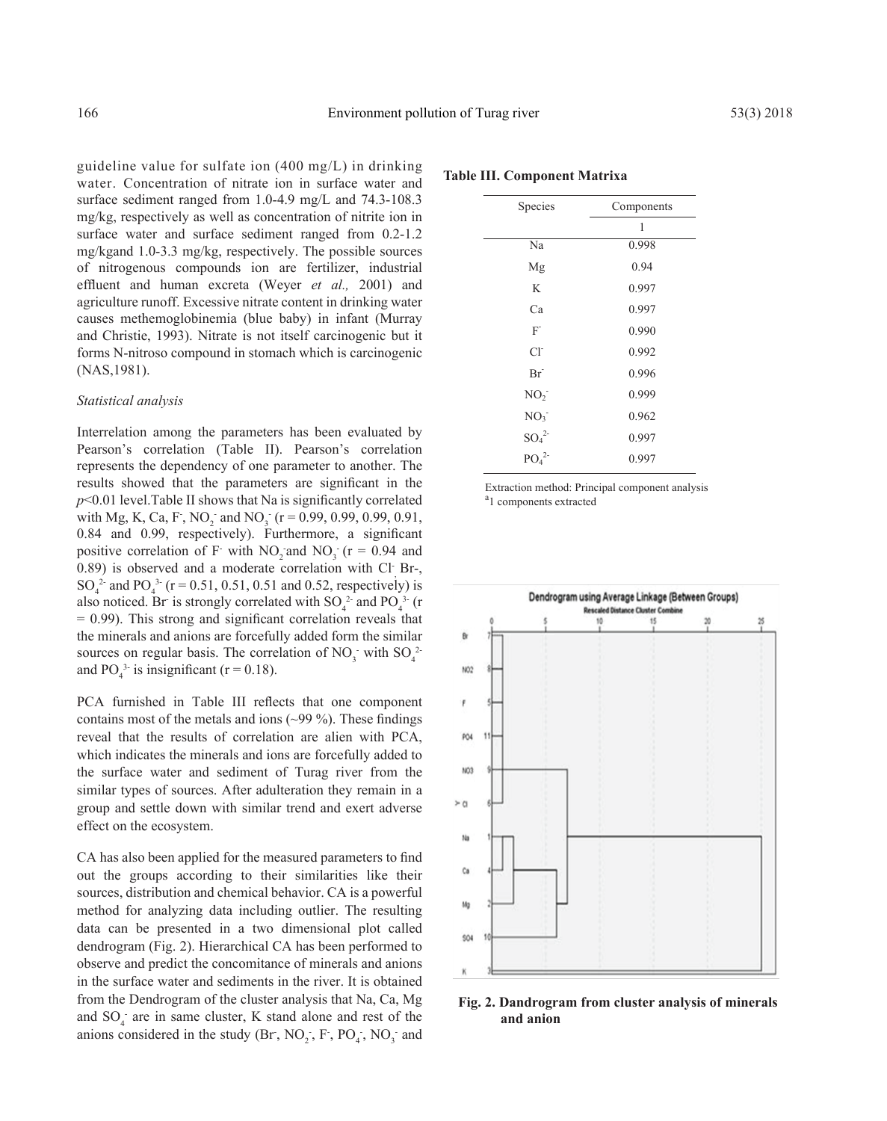guideline value for sulfate ion (400 mg/L) in drinking water. Concentration of nitrate ion in surface water and surface sediment ranged from 1.0-4.9 mg/L and 74.3-108.3 mg/kg, respectively as well as concentration of nitrite ion in surface water and surface sediment ranged from 0.2-1.2 mg/kgand 1.0-3.3 mg/kg, respectively. The possible sources of nitrogenous compounds ion are fertilizer, industrial effluent and human excreta (Weyer *et al.,* 2001) and agriculture runoff. Excessive nitrate content in drinking water causes methemoglobinemia (blue baby) in infant (Murray and Christie, 1993). Nitrate is not itself carcinogenic but it forms N-nitroso compound in stomach which is carcinogenic (NAS,1981).

#### *Statistical analysis*

Interrelation among the parameters has been evaluated by Pearson's correlation (Table II). Pearson's correlation represents the dependency of one parameter to another. The results showed that the parameters are significant in the  $p$ <0.01 level. Table II shows that Na is significantly correlated with Mg, K, Ca, F, NO<sub>2</sub> and NO<sub>3</sub> ( $r = 0.99, 0.99, 0.99, 0.91$ , 0.84 and 0.99, respectively). Furthermore, a significant positive correlation of F- with  $NO_2$  and  $NO_3$  (r = 0.94 and 0.89) is observed and a moderate correlation with  $CI$  Br-, SO<sub>4</sub><sup>2</sup> and PO<sub>4</sub><sup>3</sup> (r = 0.51, 0.51, 0.51 and 0.52, respectively) is also noticed. Br is strongly correlated with  $SO_4^2$  and  $PO_4^3$  (r  $= 0.99$ ). This strong and significant correlation reveals that the minerals and anions are forcefully added form the similar sources on regular basis. The correlation of  $NO_3^-$  with  $SO_4^2$ and  $PO_4^3$  is insignificant (r = 0.18).

PCA furnished in Table III reflects that one component contains most of the metals and ions  $(\sim 99\%)$ . These findings reveal that the results of correlation are alien with PCA, which indicates the minerals and ions are forcefully added to the surface water and sediment of Turag river from the similar types of sources. After adulteration they remain in a group and settle down with similar trend and exert adverse effect on the ecosystem.

CA has also been applied for the measured parameters to find out the groups according to their similarities like their sources, distribution and chemical behavior. CA is a powerful method for analyzing data including outlier. The resulting data can be presented in a two dimensional plot called dendrogram (Fig. 2). Hierarchical CA has been performed to observe and predict the concomitance of minerals and anions in the surface water and sediments in the river. It is obtained from the Dendrogram of the cluster analysis that Na, Ca, Mg and  $SO_4$  are in same cluster, K stand alone and rest of the anions considered in the study  $(Br, NO_2, F, PO_4, NO_3$  and

| Species                      | Components |  |  |  |  |
|------------------------------|------------|--|--|--|--|
|                              | 1          |  |  |  |  |
| Na                           | 0.998      |  |  |  |  |
| Mg                           | 0.94       |  |  |  |  |
| K                            | 0.997      |  |  |  |  |
| Ca                           | 0.997      |  |  |  |  |
| F                            | 0.990      |  |  |  |  |
| $Cl^{\dagger}$               | 0.992      |  |  |  |  |
| Br <sup>2</sup>              | 0.996      |  |  |  |  |
| NO <sub>2</sub>              | 0.999      |  |  |  |  |
| NO <sub>3</sub>              | 0.962      |  |  |  |  |
| $SO_4^2$                     | 0.997      |  |  |  |  |
| PO <sub>4</sub> <sup>2</sup> | 0.997      |  |  |  |  |

**Table III. Component Matrixa**

Extraction method: Principal component analysis <sup>a</sup>1 components extracted



**Fig. 2. Dandrogram from cluster analysis of minerals and anion**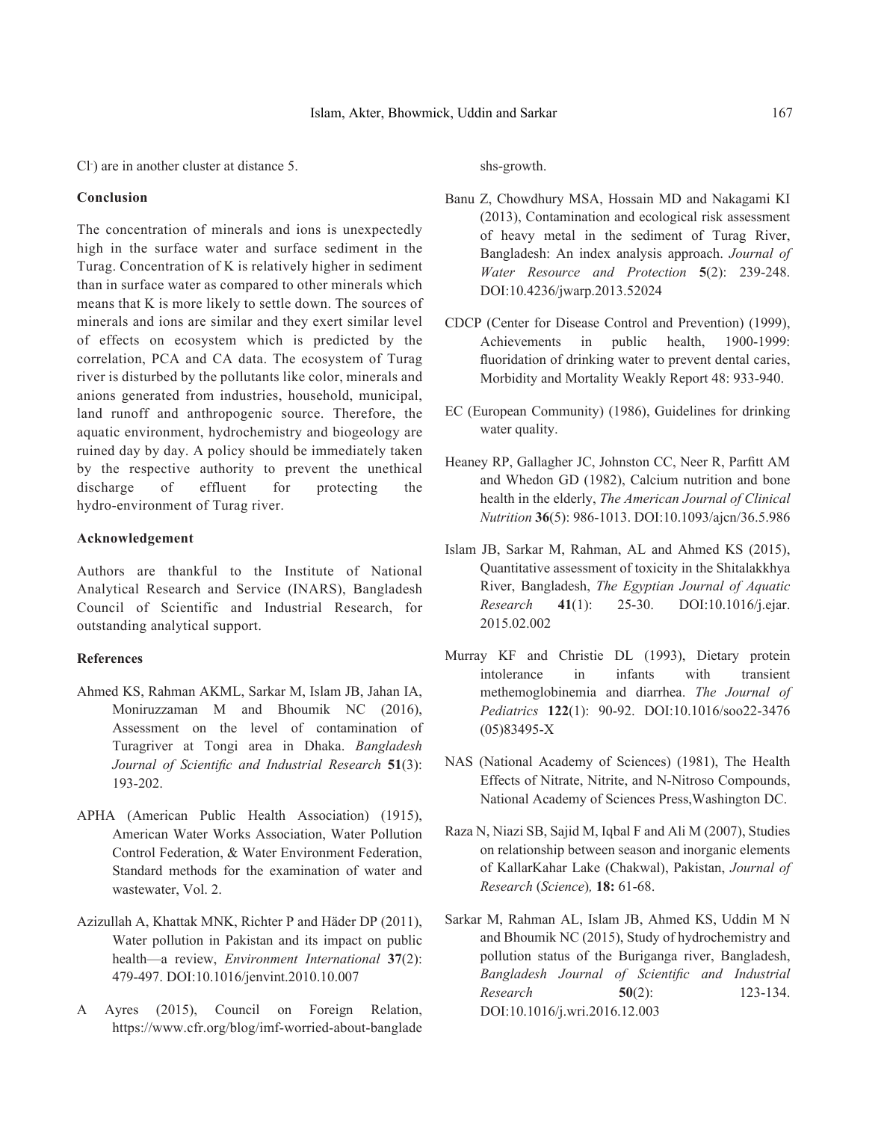Cl- ) are in another cluster at distance 5.

#### **Conclusion**

The concentration of minerals and ions is unexpectedly high in the surface water and surface sediment in the Turag. Concentration of K is relatively higher in sediment than in surface water as compared to other minerals which means that K is more likely to settle down. The sources of minerals and ions are similar and they exert similar level of effects on ecosystem which is predicted by the correlation, PCA and CA data. The ecosystem of Turag river is disturbed by the pollutants like color, minerals and anions generated from industries, household, municipal, land runoff and anthropogenic source. Therefore, the aquatic environment, hydrochemistry and biogeology are ruined day by day. A policy should be immediately taken by the respective authority to prevent the unethical discharge of effluent for protecting the hydro-environment of Turag river.

# **Acknowledgement**

Authors are thankful to the Institute of National Analytical Research and Service (INARS), Bangladesh Council of Scientific and Industrial Research, for outstanding analytical support.

## **References**

- Ahmed KS, Rahman AKML, Sarkar M, Islam JB, Jahan IA, Moniruzzaman M and Bhoumik NC (2016), Assessment on the level of contamination of Turagriver at Tongi area in Dhaka. *Bangladesh Journal of Scientific and Industrial Research* **51**(3): 193-202.
- APHA (American Public Health Association) (1915), American Water Works Association, Water Pollution Control Federation, & Water Environment Federation, Standard methods for the examination of water and wastewater, Vol. 2.
- Azizullah A, Khattak MNK, Richter P and Häder DP (2011), Water pollution in Pakistan and its impact on public health—a review, *Environment International* **37**(2): 479-497. DOI:10.1016/jenvint.2010.10.007
- A Ayres (2015), Council on Foreign Relation, https://www.cfr.org/blog/imf-worried-about-banglade

shs-growth.

- Banu Z, Chowdhury MSA, Hossain MD and Nakagami KI (2013), Contamination and ecological risk assessment of heavy metal in the sediment of Turag River, Bangladesh: An index analysis approach. *Journal of Water Resource and Protection* **5**(2): 239-248. DOI:10.4236/jwarp.2013.52024
- CDCP (Center for Disease Control and Prevention) (1999), Achievements in public health, 1900-1999: fluoridation of drinking water to prevent dental caries, Morbidity and Mortality Weakly Report 48: 933-940.
- EC (European Community) (1986), Guidelines for drinking water quality.
- Heaney RP, Gallagher JC, Johnston CC, Neer R, Parfitt AM and Whedon GD (1982), Calcium nutrition and bone health in the elderly, *The American Journal of Clinical Nutrition* **36**(5): 986-1013. DOI:10.1093/ajcn/36.5.986
- Islam JB, Sarkar M, Rahman, AL and Ahmed KS (2015), Quantitative assessment of toxicity in the Shitalakkhya River, Bangladesh, *The Egyptian Journal of Aquatic Research* **41**(1): 25-30. DOI:10.1016/j.ejar. 2015.02.002
- Murray KF and Christie DL (1993), Dietary protein intolerance in infants with transient methemoglobinemia and diarrhea. *The Journal of Pediatrics* **122**(1): 90-92. DOI:10.1016/soo22-3476 (05)83495-X
- NAS (National Academy of Sciences) (1981), The Health Effects of Nitrate, Nitrite, and N-Nitroso Compounds, National Academy of Sciences Press,Washington DC.
- Raza N, Niazi SB, Sajid M, Iqbal F and Ali M (2007), Studies on relationship between season and inorganic elements of KallarKahar Lake (Chakwal), Pakistan, *Journal of Research* (*Science*)*,* **18:** 61-68.
- Sarkar M, Rahman AL, Islam JB, Ahmed KS, Uddin M N and Bhoumik NC (2015), Study of hydrochemistry and pollution status of the Buriganga river, Bangladesh, *Bangladesh Journal of Scientific and Industrial Research* **50**(2): 123-134. DOI:10.1016/j.wri.2016.12.003